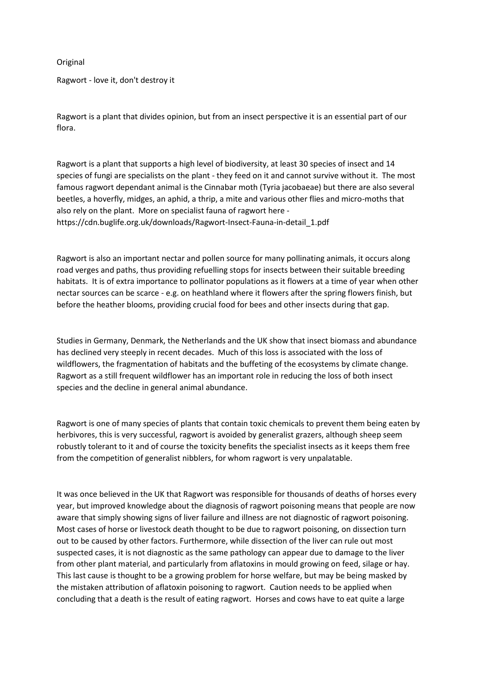## Original

Ragwort - love it, don't destroy it

Ragwort is a plant that divides opinion, but from an insect perspective it is an essential part of our flora.

Ragwort is a plant that supports a high level of biodiversity, at least 30 species of insect and 14 species of fungi are specialists on the plant - they feed on it and cannot survive without it. The most famous ragwort dependant animal is the Cinnabar moth (Tyria jacobaeae) but there are also several beetles, a hoverfly, midges, an aphid, a thrip, a mite and various other flies and micro-moths that also rely on the plant. More on specialist fauna of ragwort here https://cdn.buglife.org.uk/downloads/Ragwort-Insect-Fauna-in-detail\_1.pdf

Ragwort is also an important nectar and pollen source for many pollinating animals, it occurs along road verges and paths, thus providing refuelling stops for insects between their suitable breeding habitats. It is of extra importance to pollinator populations as it flowers at a time of year when other nectar sources can be scarce - e.g. on heathland where it flowers after the spring flowers finish, but before the heather blooms, providing crucial food for bees and other insects during that gap.

Studies in Germany, Denmark, the Netherlands and the UK show that insect biomass and abundance has declined very steeply in recent decades. Much of this loss is associated with the loss of wildflowers, the fragmentation of habitats and the buffeting of the ecosystems by climate change. Ragwort as a still frequent wildflower has an important role in reducing the loss of both insect species and the decline in general animal abundance.

Ragwort is one of many species of plants that contain toxic chemicals to prevent them being eaten by herbivores, this is very successful, ragwort is avoided by generalist grazers, although sheep seem robustly tolerant to it and of course the toxicity benefits the specialist insects as it keeps them free from the competition of generalist nibblers, for whom ragwort is very unpalatable.

It was once believed in the UK that Ragwort was responsible for thousands of deaths of horses every year, but improved knowledge about the diagnosis of ragwort poisoning means that people are now aware that simply showing signs of liver failure and illness are not diagnostic of ragwort poisoning. Most cases of horse or livestock death thought to be due to ragwort poisoning, on dissection turn out to be caused by other factors. Furthermore, while dissection of the liver can rule out most suspected cases, it is not diagnostic as the same pathology can appear due to damage to the liver from other plant material, and particularly from aflatoxins in mould growing on feed, silage or hay. This last cause is thought to be a growing problem for horse welfare, but may be being masked by the mistaken attribution of aflatoxin poisoning to ragwort. Caution needs to be applied when concluding that a death is the result of eating ragwort. Horses and cows have to eat quite a large